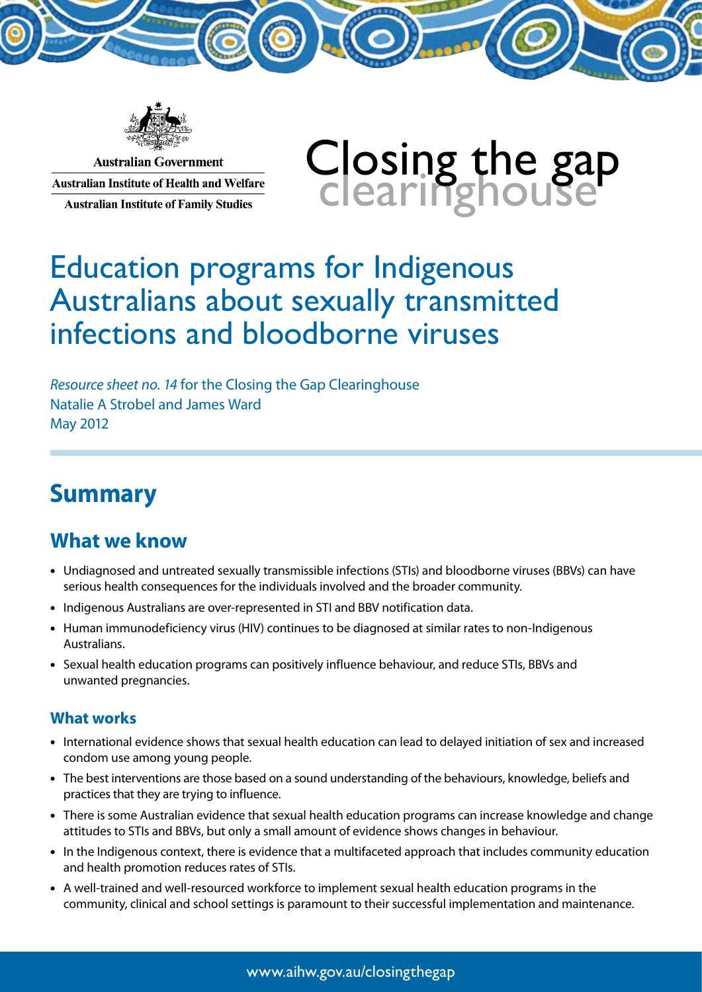

**Australian Government Australian Institute of Health and Welfare Australian Institute of Family Studies** 

# Closing the gap<br>Clearinghouse

# Education programs for Indigenous Australians about sexually transmitted infections and bloodborne viruses

*Resource sheet no. 14* for the Closing the Gap Clearinghouse Natalie A Strobel and James Ward May 2012

# **Summary**

## **What we know**

- • Undiagnosed and untreated sexually transmissible infections (STIs) and bloodborne viruses (BBVs) can have serious health consequences for the individuals involved and the broader community.
- Indigenous Australians are over-represented in STI and BBV notification data.
- Human immunodeficiency virus (HIV) continues to be diagnosed at similar rates to non-Indigenous Australians.
- • Sexual health education programs can positively influence behaviour, and reduce STIs, BBVs and unwanted pregnancies.

#### **What works**

- • International evidence shows that sexual health education can lead to delayed initiation of sex and increased condom use among young people.
- The best interventions are those based on a sound understanding of the behaviours, knowledge, beliefs and practices that they are trying to influence.
- There is some Australian evidence that sexual health education programs can increase knowledge and change attitudes to STIs and BBVs, but only a small amount of evidence shows changes in behaviour.
- • In the Indigenous context, there is evidence that a multifaceted approach that includes community education and health promotion reduces rates of STIs.
- • A well-trained and well-resourced workforce to implement sexual health education programs in the community, clinical and school settings is paramount to their successful implementation and maintenance.

www.aihw.gov.au/closingthegap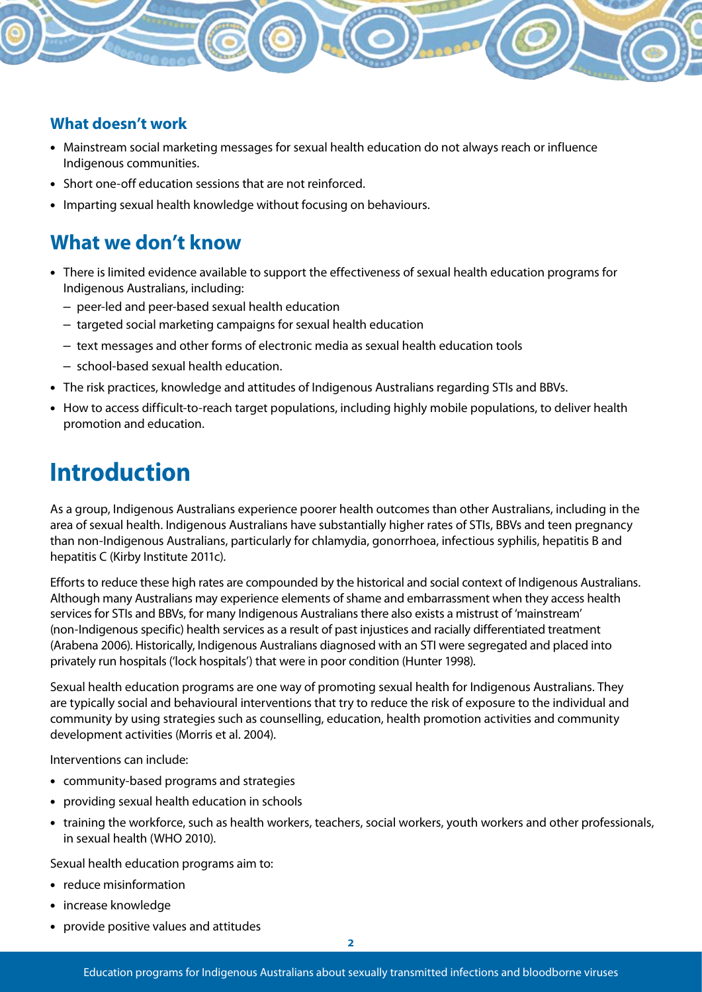

- Mainstream social marketing messages for sexual health education do not always reach or influence Indigenous communities.
- Short one-off education sessions that are not reinforced.
- Imparting sexual health knowledge without focusing on behaviours.

## **What we don't know**

- There is limited evidence available to support the effectiveness of sexual health education programs for Indigenous Australians, including:
	- peer-led and peer-based sexual health education
	- targeted social marketing campaigns for sexual health education
	- text messages and other forms of electronic media as sexual health education tools
	- school-based sexual health education.
- The risk practices, knowledge and attitudes of Indigenous Australians regarding STIs and BBVs.
- How to access difficult-to-reach target populations, including highly mobile populations, to deliver health promotion and education.

# **Introduction**

As a group, Indigenous Australians experience poorer health outcomes than other Australians, including in the area of sexual health. Indigenous Australians have substantially higher rates of STIs, BBVs and teen pregnancy than non-Indigenous Australians, particularly for chlamydia, gonorrhoea, infectious syphilis, hepatitis B and hepatitis C (Kirby Institute 2011c).

Efforts to reduce these high rates are compounded by the historical and social context of Indigenous Australians. Although many Australians may experience elements of shame and embarrassment when they access health services for STIs and BBVs, for many Indigenous Australians there also exists a mistrust of 'mainstream' (non-Indigenous specific) health services as a result of past injustices and racially differentiated treatment (Arabena 2006). Historically, Indigenous Australians diagnosed with an STI were segregated and placed into privately run hospitals ('lock hospitals') that were in poor condition (Hunter 1998).

Sexual health education programs are one way of promoting sexual health for Indigenous Australians. They are typically social and behavioural interventions that try to reduce the risk of exposure to the individual and community by using strategies such as counselling, education, health promotion activities and community development activities (Morris et al. 2004).

Interventions can include:

- community-based programs and strategies
- providing sexual health education in schools
- training the workforce, such as health workers, teachers, social workers, youth workers and other professionals, in sexual health (WHO 2010).

Sexual health education programs aim to:

- reduce misinformation
- • increase knowledge
- • provide positive values and attitudes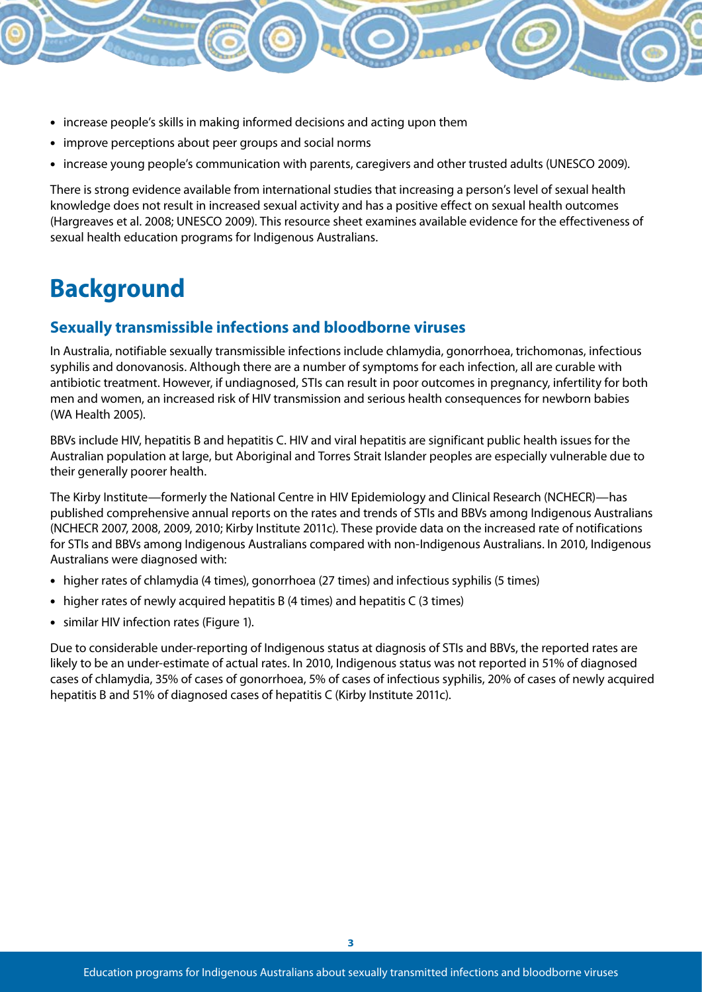- increase people's skills in making informed decisions and acting upon them
- improve perceptions about peer groups and social norms
- increase young people's communication with parents, caregivers and other trusted adults (UNESCO 2009).

There is strong evidence available from international studies that increasing a person's level of sexual health knowledge does not result in increased sexual activity and has a positive effect on sexual health outcomes (Hargreaves et al. 2008; UNESCO 2009). This resource sheet examines available evidence for the effectiveness of sexual health education programs for Indigenous Australians.

# **Background**

#### **Sexually transmissible infections and bloodborne viruses**

In Australia, notifiable sexually transmissible infections include chlamydia, gonorrhoea, trichomonas, infectious syphilis and donovanosis. Although there are a number of symptoms for each infection, all are curable with antibiotic treatment. However, if undiagnosed, STIs can result in poor outcomes in pregnancy, infertility for both men and women, an increased risk of HIV transmission and serious health consequences for newborn babies (WA Health 2005).

BBVs include HIV, hepatitis B and hepatitis C. HIV and viral hepatitis are significant public health issues for the Australian population at large, but Aboriginal and Torres Strait Islander peoples are especially vulnerable due to their generally poorer health.

The Kirby Institute—formerly the National Centre in HIV Epidemiology and Clinical Research (NCHECR)—has published comprehensive annual reports on the rates and trends of STIs and BBVs among Indigenous Australians (NCHECR 2007, 2008, 2009, 2010; Kirby Institute 2011c). These provide data on the increased rate of notifications for STIs and BBVs among Indigenous Australians compared with non-Indigenous Australians. In 2010, Indigenous Australians were diagnosed with:

- higher rates of chlamydia (4 times), gonorrhoea (27 times) and infectious syphilis (5 times)
- higher rates of newly acquired hepatitis B  $(4 \text{ times})$  and hepatitis C  $(3 \text{ times})$
- similar HIV infection rates (Figure 1).

Due to considerable under-reporting of Indigenous status at diagnosis of STIs and BBVs, the reported rates are likely to be an under-estimate of actual rates. In 2010, Indigenous status was not reported in 51% of diagnosed cases of chlamydia, 35% of cases of gonorrhoea, 5% of cases of infectious syphilis, 20% of cases of newly acquired hepatitis B and 51% of diagnosed cases of hepatitis C (Kirby Institute 2011c).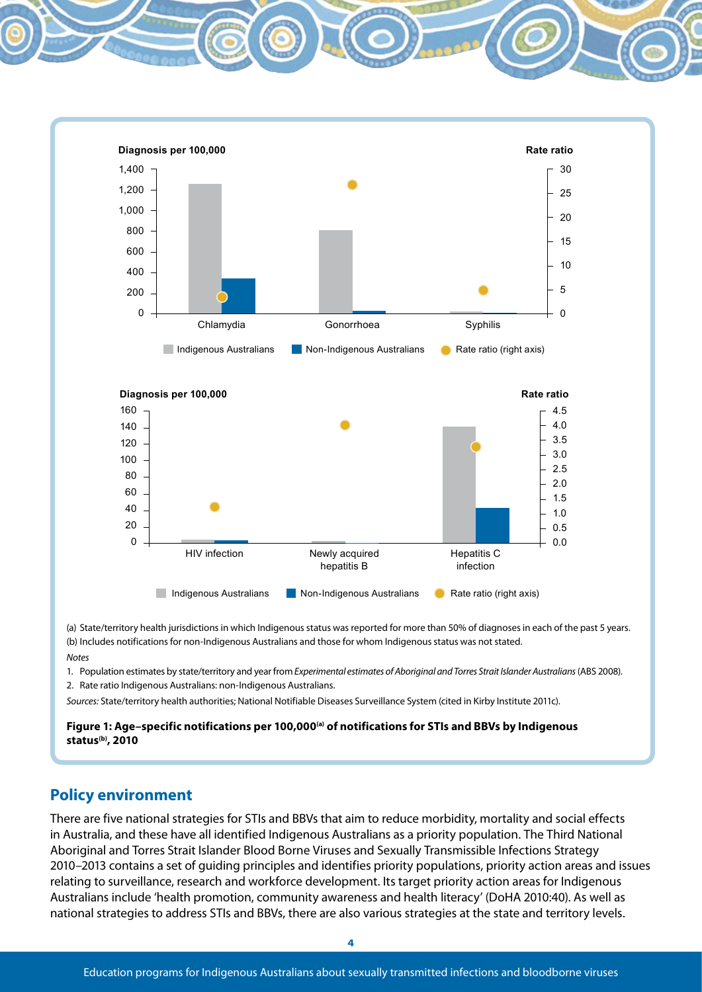

(a) State/territory health jurisdictions in which Indigenous status was reported for more than 50% of diagnoses in each of the past 5 years. (b) Includes notifications for non-Indigenous Australians and those for whom Indigenous status was not stated.

#### *Notes*

- 1. Population estimates by state/territory and year from *Experimental estimates of Aboriginal and Torres Strait Islander Australians* (ABS 2008).
- 2. Rate ratio Indigenous Australians: non-Indigenous Australians.

*Sources:* State/territory health authorities; National Notifiable Diseases Surveillance System (cited in Kirby Institute 2011c).

Figure 1: Age-specific notifications per 100,000<sup>(a)</sup> of notifications for STIs and BBVs by Indigenous **status(b), 2010**

#### **Policy environment**

There are five national strategies for STIs and BBVs that aim to reduce morbidity, mortality and social effects in Australia, and these have all identified Indigenous Australians as a priority population. The Third National Aboriginal and Torres Strait Islander Blood Borne Viruses and Sexually Transmissible Infections Strategy 2010–2013 contains a set of guiding principles and identifies priority populations, priority action areas and issues relating to surveillance, research and workforce development. Its target priority action areas for Indigenous Australians include 'health promotion, community awareness and health literacy' (DoHA 2010:40). As well as national strategies to address STIs and BBVs, there are also various strategies at the state and territory levels.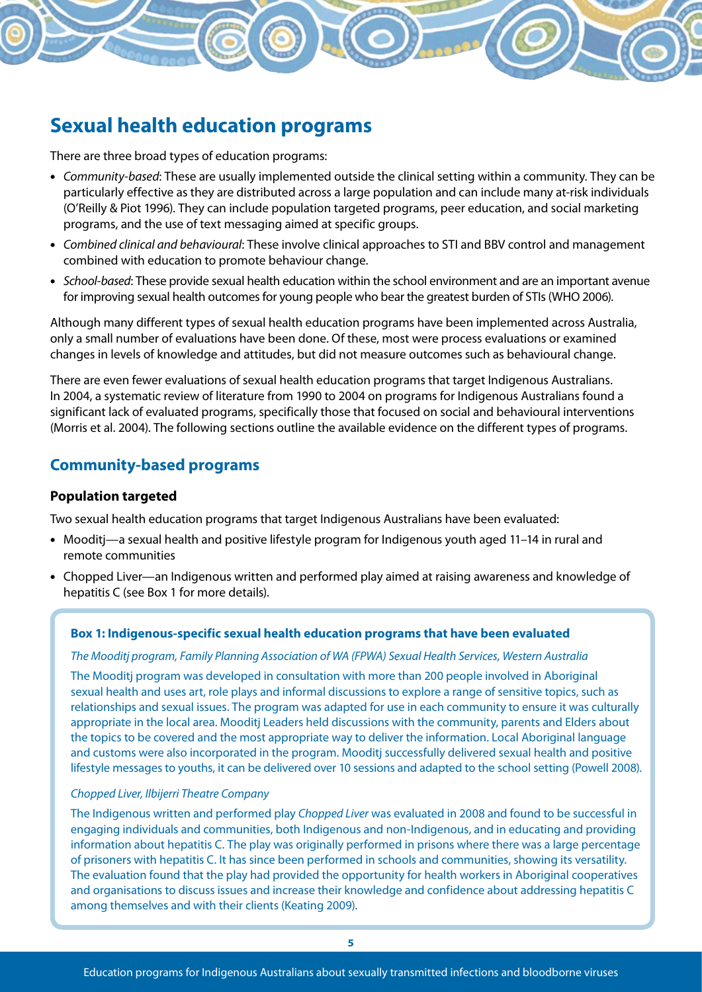## **Sexual health education programs**

There are three broad types of education programs:

- • *Community-based*: These are usually implemented outside the clinical setting within a community. They can be particularly effective as they are distributed across a large population and can include many at-risk individuals (O'Reilly & Piot 1996). They can include population targeted programs, peer education, and social marketing programs, and the use of text messaging aimed at specific groups.
- • *Combined clinical and behavioural*: These involve clinical approaches to STI and BBV control and management combined with education to promote behaviour change.
- • *School-based*: These provide sexual health education within the school environment and are an important avenue for improving sexual health outcomes for young people who bear the greatest burden of STIs (WHO 2006).

Although many different types of sexual health education programs have been implemented across Australia, only a small number of evaluations have been done. Of these, most were process evaluations or examined changes in levels of knowledge and attitudes, but did not measure outcomes such as behavioural change.

There are even fewer evaluations of sexual health education programs that target Indigenous Australians. In 2004, a systematic review of literature from 1990 to 2004 on programs for Indigenous Australians found a significant lack of evaluated programs, specifically those that focused on social and behavioural interventions (Morris et al. 2004). The following sections outline the available evidence on the different types of programs.

#### **Community-based programs**

#### **Population targeted**

Two sexual health education programs that target Indigenous Australians have been evaluated:

- Mooditj—a sexual health and positive lifestyle program for Indigenous youth aged 11-14 in rural and remote communities
- Chopped Liver—an Indigenous written and performed play aimed at raising awareness and knowledge of hepatitis C (see Box 1 for more details).

#### **Box 1: Indigenous-specific sexual health education programs that have been evaluated**

#### *The Mooditj program, Family Planning Association of WA (FPWA) Sexual Health Services, Western Australia*

The Mooditj program was developed in consultation with more than 200 people involved in Aboriginal sexual health and uses art, role plays and informal discussions to explore a range of sensitive topics, such as relationships and sexual issues. The program was adapted for use in each community to ensure it was culturally appropriate in the local area. Mooditj Leaders held discussions with the community, parents and Elders about the topics to be covered and the most appropriate way to deliver the information. Local Aboriginal language and customs were also incorporated in the program. Mooditj successfully delivered sexual health and positive lifestyle messages to youths, it can be delivered over 10 sessions and adapted to the school setting (Powell 2008).

#### *Chopped Liver, Ilbijerri Theatre Company*

The Indigenous written and performed play *Chopped Liver* was evaluated in 2008 and found to be successful in engaging individuals and communities, both Indigenous and non-Indigenous, and in educating and providing information about hepatitis C. The play was originally performed in prisons where there was a large percentage of prisoners with hepatitis C. It has since been performed in schools and communities, showing its versatility. The evaluation found that the play had provided the opportunity for health workers in Aboriginal cooperatives and organisations to discuss issues and increase their knowledge and confidence about addressing hepatitis C among themselves and with their clients (Keating 2009).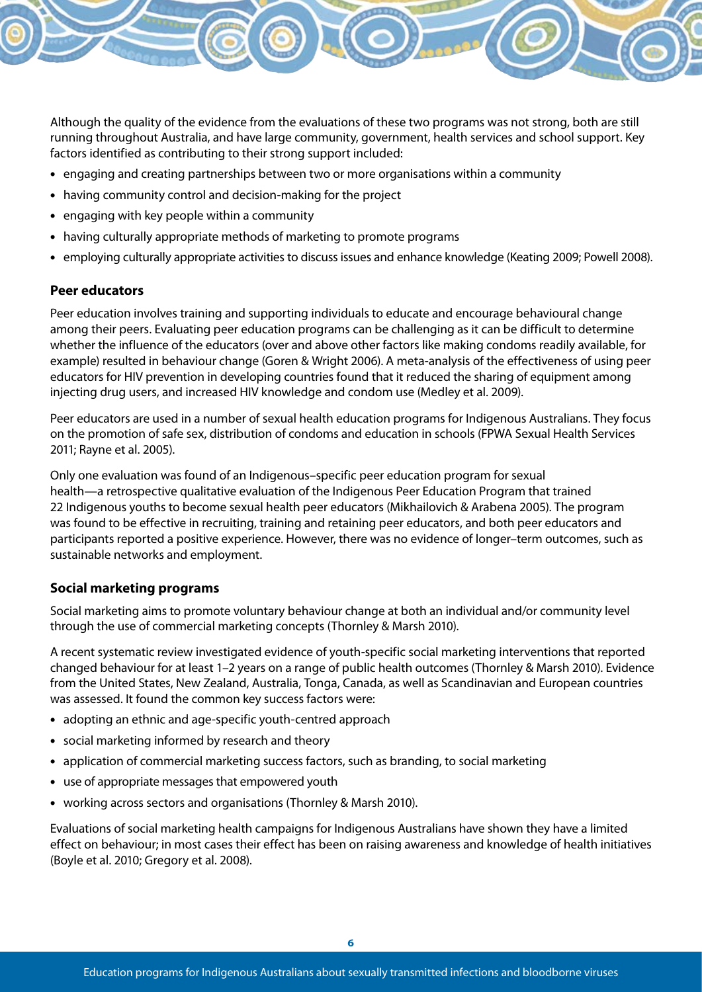

Although the quality of the evidence from the evaluations of these two programs was not strong, both are still running throughout Australia, and have large community, government, health services and school support. Key factors identified as contributing to their strong support included:

- engaging and creating partnerships between two or more organisations within a community
- having community control and decision-making for the project
- engaging with key people within a community
- having culturally appropriate methods of marketing to promote programs
- • employing culturally appropriate activities to discuss issues and enhance knowledge (Keating 2009; Powell 2008).

#### **Peer educators**

Peer education involves training and supporting individuals to educate and encourage behavioural change among their peers. Evaluating peer education programs can be challenging as it can be difficult to determine whether the influence of the educators (over and above other factors like making condoms readily available, for example) resulted in behaviour change (Goren & Wright 2006). A meta-analysis of the effectiveness of using peer educators for HIV prevention in developing countries found that it reduced the sharing of equipment among injecting drug users, and increased HIV knowledge and condom use (Medley et al. 2009).

Peer educators are used in a number of sexual health education programs for Indigenous Australians. They focus on the promotion of safe sex, distribution of condoms and education in schools (FPWA Sexual Health Services 2011; Rayne et al. 2005).

Only one evaluation was found of an Indigenous–specific peer education program for sexual health—a retrospective qualitative evaluation of the Indigenous Peer Education Program that trained 22 Indigenous youths to become sexual health peer educators (Mikhailovich & Arabena 2005). The program was found to be effective in recruiting, training and retaining peer educators, and both peer educators and participants reported a positive experience. However, there was no evidence of longer–term outcomes, such as sustainable networks and employment.

#### **Social marketing programs**

Social marketing aims to promote voluntary behaviour change at both an individual and/or community level through the use of commercial marketing concepts (Thornley & Marsh 2010).

A recent systematic review investigated evidence of youth-specific social marketing interventions that reported changed behaviour for at least 1–2 years on a range of public health outcomes (Thornley & Marsh 2010). Evidence from the United States, New Zealand, Australia, Tonga, Canada, as well as Scandinavian and European countries was assessed. It found the common key success factors were:

- adopting an ethnic and age-specific youth-centred approach
- social marketing informed by research and theory
- application of commercial marketing success factors, such as branding, to social marketing
- use of appropriate messages that empowered youth
- working across sectors and organisations (Thornley & Marsh 2010).

Evaluations of social marketing health campaigns for Indigenous Australians have shown they have a limited effect on behaviour; in most cases their effect has been on raising awareness and knowledge of health initiatives (Boyle et al. 2010; Gregory et al. 2008).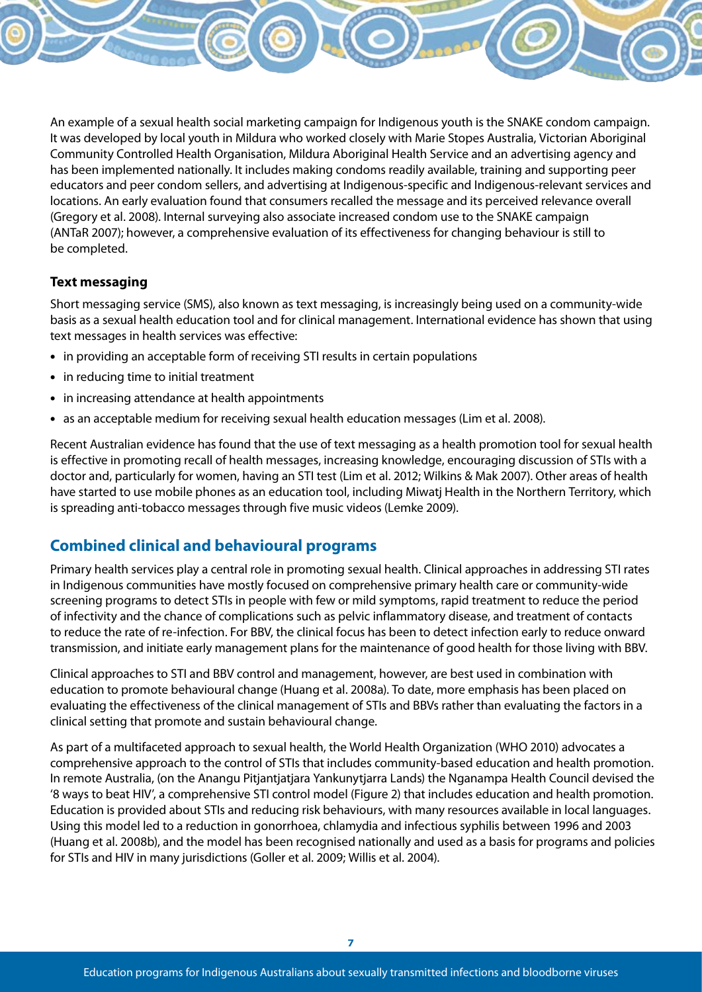An example of a sexual health social marketing campaign for Indigenous youth is the SNAKE condom campaign. It was developed by local youth in Mildura who worked closely with Marie Stopes Australia, Victorian Aboriginal Community Controlled Health Organisation, Mildura Aboriginal Health Service and an advertising agency and has been implemented nationally. It includes making condoms readily available, training and supporting peer educators and peer condom sellers, and advertising at Indigenous-specific and Indigenous-relevant services and locations. An early evaluation found that consumers recalled the message and its perceived relevance overall (Gregory et al. 2008). Internal surveying also associate increased condom use to the SNAKE campaign (ANTaR 2007); however, a comprehensive evaluation of its effectiveness for changing behaviour is still to be completed.

#### **Text messaging**

Short messaging service (SMS), also known as text messaging, is increasingly being used on a community-wide basis as a sexual health education tool and for clinical management. International evidence has shown that using text messages in health services was effective:

- in providing an acceptable form of receiving STI results in certain populations
- in reducing time to initial treatment
- in increasing attendance at health appointments
- as an acceptable medium for receiving sexual health education messages (Lim et al. 2008).

Recent Australian evidence has found that the use of text messaging as a health promotion tool for sexual health is effective in promoting recall of health messages, increasing knowledge, encouraging discussion of STIs with a doctor and, particularly for women, having an STI test (Lim et al. 2012; Wilkins & Mak 2007). Other areas of health have started to use mobile phones as an education tool, including Miwatj Health in the Northern Territory, which is spreading anti-tobacco messages through five music videos (Lemke 2009).

#### **Combined clinical and behavioural programs**

Primary health services play a central role in promoting sexual health. Clinical approaches in addressing STI rates in Indigenous communities have mostly focused on comprehensive primary health care or community-wide screening programs to detect STIs in people with few or mild symptoms, rapid treatment to reduce the period of infectivity and the chance of complications such as pelvic inflammatory disease, and treatment of contacts to reduce the rate of re-infection. For BBV, the clinical focus has been to detect infection early to reduce onward transmission, and initiate early management plans for the maintenance of good health for those living with BBV.

Clinical approaches to STI and BBV control and management, however, are best used in combination with education to promote behavioural change (Huang et al. 2008a). To date, more emphasis has been placed on evaluating the effectiveness of the clinical management of STIs and BBVs rather than evaluating the factors in a clinical setting that promote and sustain behavioural change.

As part of a multifaceted approach to sexual health, the World Health Organization (WHO 2010) advocates a comprehensive approach to the control of STIs that includes community-based education and health promotion. In remote Australia, (on the Anangu Pitjantjatjara Yankunytjarra Lands) the Nganampa Health Council devised the '8 ways to beat HIV', a comprehensive STI control model (Figure 2) that includes education and health promotion. Education is provided about STIs and reducing risk behaviours, with many resources available in local languages. Using this model led to a reduction in gonorrhoea, chlamydia and infectious syphilis between 1996 and 2003 (Huang et al. 2008b), and the model has been recognised nationally and used as a basis for programs and policies for STIs and HIV in many jurisdictions (Goller et al. 2009; Willis et al. 2004).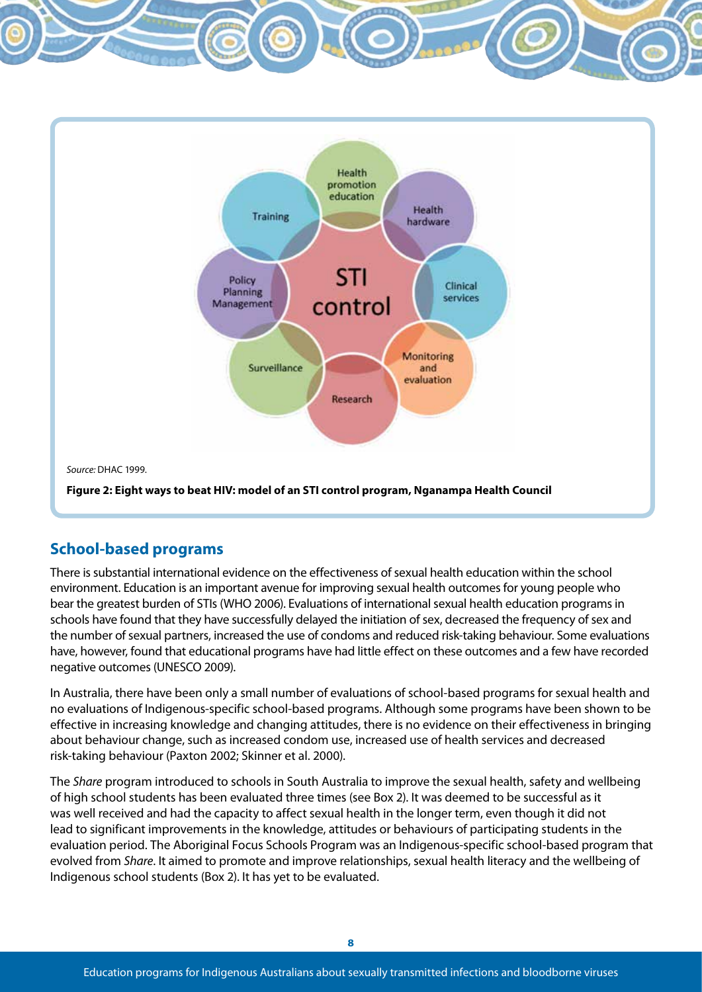

*Source:* DHAC 1999.

**Figure 2: Eight ways to beat HIV: model of an STI control program, Nganampa Health Council**

#### **School-based programs**

There is substantial international evidence on the effectiveness of sexual health education within the school environment. Education is an important avenue for improving sexual health outcomes for young people who bear the greatest burden of STIs (WHO 2006). Evaluations of international sexual health education programs in schools have found that they have successfully delayed the initiation of sex, decreased the frequency of sex and the number of sexual partners, increased the use of condoms and reduced risk-taking behaviour. Some evaluations have, however, found that educational programs have had little effect on these outcomes and a few have recorded negative outcomes (UNESCO 2009).

In Australia, there have been only a small number of evaluations of school-based programs for sexual health and no evaluations of Indigenous-specific school-based programs. Although some programs have been shown to be effective in increasing knowledge and changing attitudes, there is no evidence on their effectiveness in bringing about behaviour change, such as increased condom use, increased use of health services and decreased risk-taking behaviour (Paxton 2002; Skinner et al. 2000).

The *Share* program introduced to schools in South Australia to improve the sexual health, safety and wellbeing of high school students has been evaluated three times (see Box 2). It was deemed to be successful as it was well received and had the capacity to affect sexual health in the longer term, even though it did not lead to significant improvements in the knowledge, attitudes or behaviours of participating students in the evaluation period. The Aboriginal Focus Schools Program was an Indigenous-specific school-based program that evolved from *Share*. It aimed to promote and improve relationships, sexual health literacy and the wellbeing of Indigenous school students (Box 2). It has yet to be evaluated.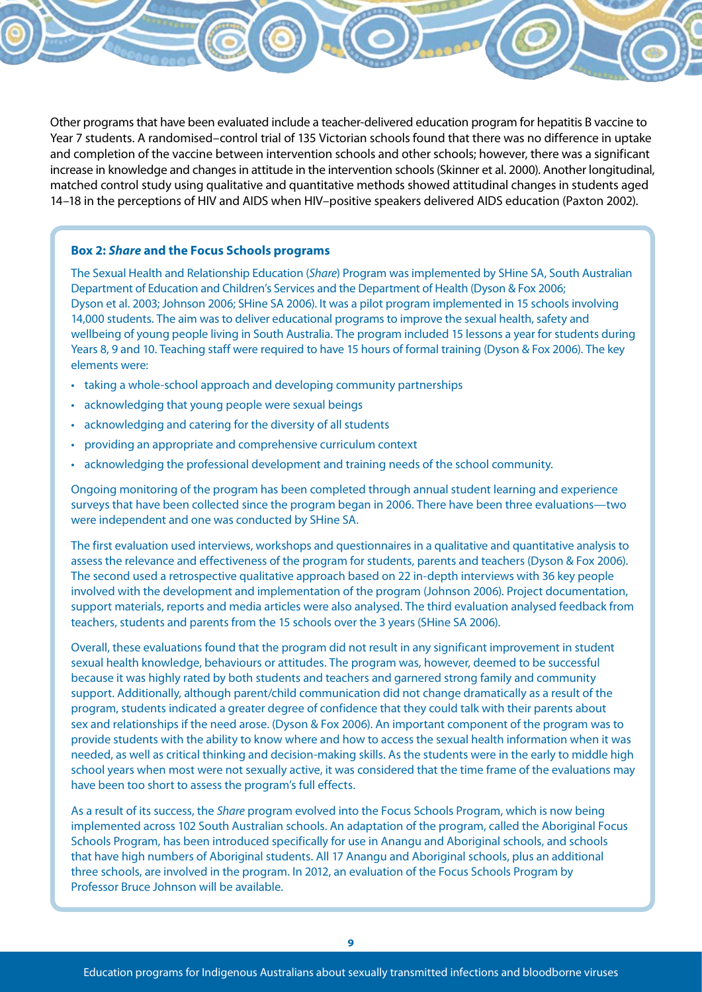Other programs that have been evaluated include a teacher-delivered education program for hepatitis B vaccine to Year 7 students. A randomised–control trial of 135 Victorian schools found that there was no difference in uptake and completion of the vaccine between intervention schools and other schools; however, there was a significant increase in knowledge and changes in attitude in the intervention schools (Skinner et al. 2000). Another longitudinal, matched control study using qualitative and quantitative methods showed attitudinal changes in students aged 14–18 in the perceptions of HIV and AIDS when HIV–positive speakers delivered AIDS education (Paxton 2002).

#### **Box 2:** *Share* **and the Focus Schools programs**

The Sexual Health and Relationship Education (*Share*) Program was implemented by SHine SA, South Australian Department of Education and Children's Services and the Department of Health (Dyson & Fox 2006; Dyson et al. 2003; Johnson 2006; SHine SA 2006). It was a pilot program implemented in 15 schools involving 14,000 students. The aim was to deliver educational programs to improve the sexual health, safety and wellbeing of young people living in South Australia. The program included 15 lessons a year for students during Years 8, 9 and 10. Teaching staff were required to have 15 hours of formal training (Dyson & Fox 2006). The key elements were:

- taking a whole-school approach and developing community partnerships
- • acknowledging that young people were sexual beings
- acknowledging and catering for the diversity of all students
- providing an appropriate and comprehensive curriculum context
- • acknowledging the professional development and training needs of the school community.

Ongoing monitoring of the program has been completed through annual student learning and experience surveys that have been collected since the program began in 2006. There have been three evaluations—two were independent and one was conducted by SHine SA.

The first evaluation used interviews, workshops and questionnaires in a qualitative and quantitative analysis to assess the relevance and effectiveness of the program for students, parents and teachers (Dyson & Fox 2006). The second used a retrospective qualitative approach based on 22 in-depth interviews with 36 key people involved with the development and implementation of the program (Johnson 2006). Project documentation, support materials, reports and media articles were also analysed. The third evaluation analysed feedback from teachers, students and parents from the 15 schools over the 3 years (SHine SA 2006).

Overall, these evaluations found that the program did not result in any significant improvement in student sexual health knowledge, behaviours or attitudes. The program was, however, deemed to be successful because it was highly rated by both students and teachers and garnered strong family and community support. Additionally, although parent/child communication did not change dramatically as a result of the program, students indicated a greater degree of confidence that they could talk with their parents about sex and relationships if the need arose. (Dyson & Fox 2006). An important component of the program was to provide students with the ability to know where and how to access the sexual health information when it was needed, as well as critical thinking and decision-making skills. As the students were in the early to middle high school years when most were not sexually active, it was considered that the time frame of the evaluations may have been too short to assess the program's full effects.

As a result of its success, the *Share* program evolved into the Focus Schools Program, which is now being implemented across 102 South Australian schools. An adaptation of the program, called the Aboriginal Focus Schools Program, has been introduced specifically for use in Anangu and Aboriginal schools, and schools that have high numbers of Aboriginal students. All 17 Anangu and Aboriginal schools, plus an additional three schools, are involved in the program. In 2012, an evaluation of the Focus Schools Program by Professor Bruce Johnson will be available.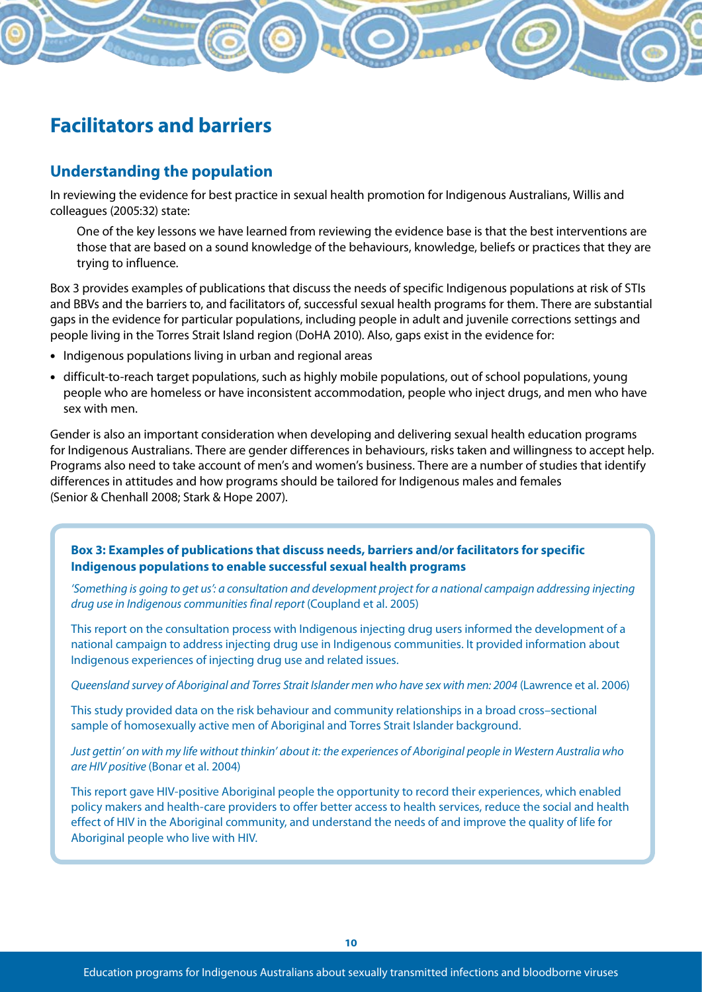## **Facilitators and barriers**

#### **Understanding the population**

In reviewing the evidence for best practice in sexual health promotion for Indigenous Australians, Willis and colleagues (2005:32) state:

One of the key lessons we have learned from reviewing the evidence base is that the best interventions are those that are based on a sound knowledge of the behaviours, knowledge, beliefs or practices that they are trying to influence.

Box 3 provides examples of publications that discuss the needs of specific Indigenous populations at risk of STIs and BBVs and the barriers to, and facilitators of, successful sexual health programs for them. There are substantial gaps in the evidence for particular populations, including people in adult and juvenile corrections settings and people living in the Torres Strait Island region (DoHA 2010). Also, gaps exist in the evidence for:

- Indigenous populations living in urban and regional areas
- • difficult-to-reach target populations, such as highly mobile populations, out of school populations, young people who are homeless or have inconsistent accommodation, people who inject drugs, and men who have sex with men.

Gender is also an important consideration when developing and delivering sexual health education programs for Indigenous Australians. There are gender differences in behaviours, risks taken and willingness to accept help. Programs also need to take account of men's and women's business. There are a number of studies that identify differences in attitudes and how programs should be tailored for Indigenous males and females (Senior & Chenhall 2008; Stark & Hope 2007).

#### **Box 3: Examples of publications that discuss needs, barriers and/or facilitators for specific Indigenous populations to enable successful sexual health programs**

'Something is going to get us': a consultation and development project for a national campaign addressing injecting *drug use in Indigenous communities final report* (Coupland et al. 2005)

This report on the consultation process with Indigenous injecting drug users informed the development of a national campaign to address injecting drug use in Indigenous communities. It provided information about Indigenous experiences of injecting drug use and related issues.

*Queensland survey of Aboriginal and Torres Strait Islander men who have sex with men: 2004* (Lawrence et al. 2006)

This study provided data on the risk behaviour and community relationships in a broad cross–sectional sample of homosexually active men of Aboriginal and Torres Strait Islander background.

*Just gettin' on with my life without thinkin' about it: the experiences of Aboriginal people in Western Australia who are HIV positive* (Bonar et al. 2004)

This report gave HIV-positive Aboriginal people the opportunity to record their experiences, which enabled policy makers and health-care providers to offer better access to health services, reduce the social and health effect of HIV in the Aboriginal community, and understand the needs of and improve the quality of life for Aboriginal people who live with HIV.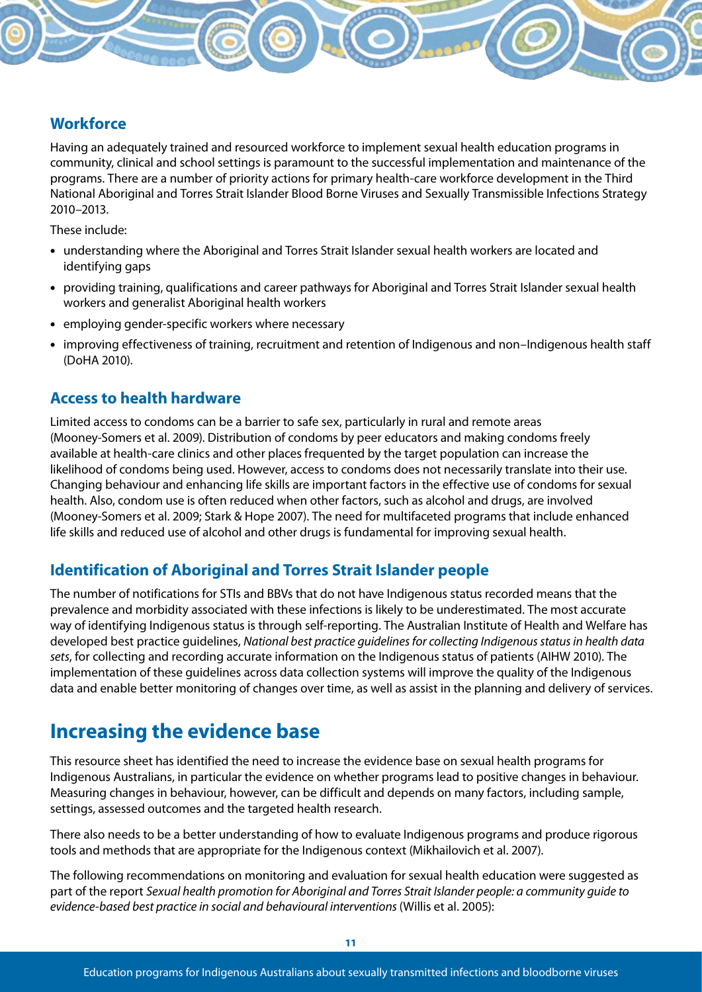#### **Workforce**

Having an adequately trained and resourced workforce to implement sexual health education programs in community, clinical and school settings is paramount to the successful implementation and maintenance of the programs. There are a number of priority actions for primary health-care workforce development in the Third National Aboriginal and Torres Strait Islander Blood Borne Viruses and Sexually Transmissible Infections Strategy 2010–2013.

These include:

- understanding where the Aboriginal and Torres Strait Islander sexual health workers are located and identifying gaps
- • providing training, qualifications and career pathways for Aboriginal and Torres Strait Islander sexual health workers and generalist Aboriginal health workers
- employing gender-specific workers where necessary
- improving effectiveness of training, recruitment and retention of Indigenous and non-Indigenous health staff (DoHA 2010).

#### **Access to health hardware**

Limited access to condoms can be a barrier to safe sex, particularly in rural and remote areas (Mooney-Somers et al. 2009). Distribution of condoms by peer educators and making condoms freely available at health-care clinics and other places frequented by the target population can increase the likelihood of condoms being used. However, access to condoms does not necessarily translate into their use. Changing behaviour and enhancing life skills are important factors in the effective use of condoms for sexual health. Also, condom use is often reduced when other factors, such as alcohol and drugs, are involved (Mooney-Somers et al. 2009; Stark & Hope 2007). The need for multifaceted programs that include enhanced life skills and reduced use of alcohol and other drugs is fundamental for improving sexual health.

#### **Identification of Aboriginal and Torres Strait Islander people**

The number of notifications for STIs and BBVs that do not have Indigenous status recorded means that the prevalence and morbidity associated with these infections is likely to be underestimated. The most accurate way of identifying Indigenous status is through self-reporting. The Australian Institute of Health and Welfare has developed best practice guidelines, *National best practice guidelines for collecting Indigenous status in health data sets*, for collecting and recording accurate information on the Indigenous status of patients (AIHW 2010). The implementation of these guidelines across data collection systems will improve the quality of the Indigenous data and enable better monitoring of changes over time, as well as assist in the planning and delivery of services.

### **Increasing the evidence base**

This resource sheet has identified the need to increase the evidence base on sexual health programs for Indigenous Australians, in particular the evidence on whether programs lead to positive changes in behaviour. Measuring changes in behaviour, however, can be difficult and depends on many factors, including sample, settings, assessed outcomes and the targeted health research.

There also needs to be a better understanding of how to evaluate Indigenous programs and produce rigorous tools and methods that are appropriate for the Indigenous context (Mikhailovich et al. 2007).

The following recommendations on monitoring and evaluation for sexual health education were suggested as part of the report *Sexual health promotion for Aboriginal and Torres Strait Islander people: a community guide to evidence-based best practice in social and behavioural interventions* (Willis et al. 2005):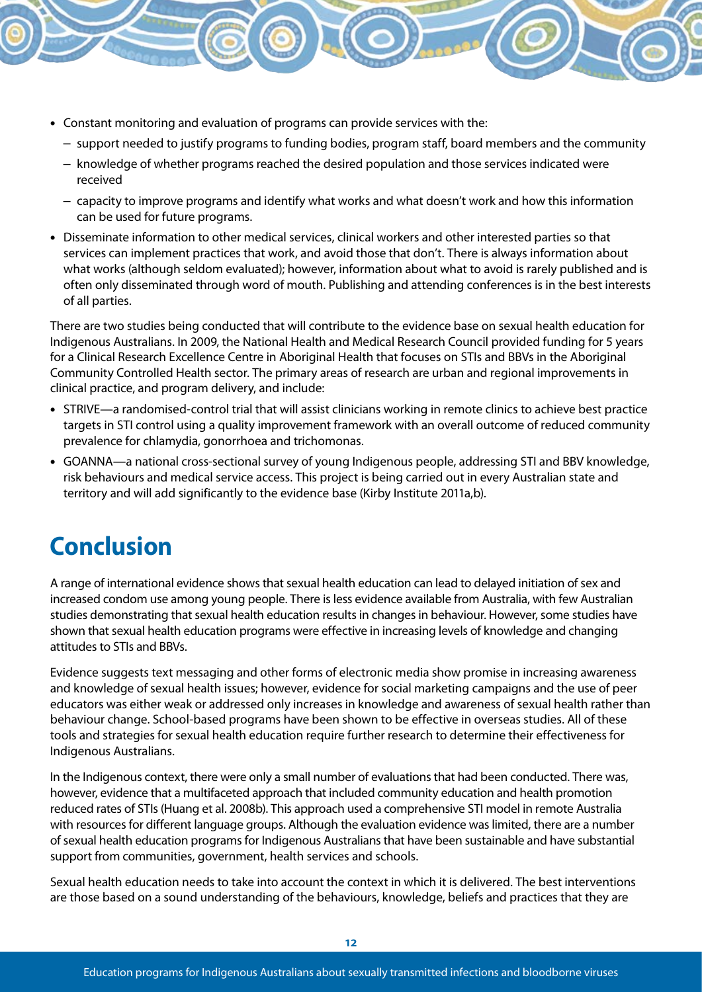- Constant monitoring and evaluation of programs can provide services with the:
	- support needed to justify programs to funding bodies, program staff, board members and the community
	- knowledge of whether programs reached the desired population and those services indicated were received
	- capacity to improve programs and identify what works and what doesn't work and how this information can be used for future programs.
- Disseminate information to other medical services, clinical workers and other interested parties so that services can implement practices that work, and avoid those that don't. There is always information about what works (although seldom evaluated); however, information about what to avoid is rarely published and is often only disseminated through word of mouth. Publishing and attending conferences is in the best interests of all parties.

There are two studies being conducted that will contribute to the evidence base on sexual health education for Indigenous Australians. In 2009, the National Health and Medical Research Council provided funding for 5 years for a Clinical Research Excellence Centre in Aboriginal Health that focuses on STIs and BBVs in the Aboriginal Community Controlled Health sector. The primary areas of research are urban and regional improvements in clinical practice, and program delivery, and include:

- • STRIVE—a randomised-control trial that will assist clinicians working in remote clinics to achieve best practice targets in STI control using a quality improvement framework with an overall outcome of reduced community prevalence for chlamydia, gonorrhoea and trichomonas.
- GOANNA—a national cross-sectional survey of young Indigenous people, addressing STI and BBV knowledge, risk behaviours and medical service access. This project is being carried out in every Australian state and territory and will add significantly to the evidence base (Kirby Institute 2011a,b).

# **Conclusion**

A range of international evidence shows that sexual health education can lead to delayed initiation of sex and increased condom use among young people. There is less evidence available from Australia, with few Australian studies demonstrating that sexual health education results in changes in behaviour. However, some studies have shown that sexual health education programs were effective in increasing levels of knowledge and changing attitudes to STIs and BBVs.

Evidence suggests text messaging and other forms of electronic media show promise in increasing awareness and knowledge of sexual health issues; however, evidence for social marketing campaigns and the use of peer educators was either weak or addressed only increases in knowledge and awareness of sexual health rather than behaviour change. School-based programs have been shown to be effective in overseas studies. All of these tools and strategies for sexual health education require further research to determine their effectiveness for Indigenous Australians.

In the Indigenous context, there were only a small number of evaluations that had been conducted. There was, however, evidence that a multifaceted approach that included community education and health promotion reduced rates of STIs (Huang et al. 2008b). This approach used a comprehensive STI model in remote Australia with resources for different language groups. Although the evaluation evidence was limited, there are a number of sexual health education programs for Indigenous Australians that have been sustainable and have substantial support from communities, government, health services and schools.

Sexual health education needs to take into account the context in which it is delivered. The best interventions are those based on a sound understanding of the behaviours, knowledge, beliefs and practices that they are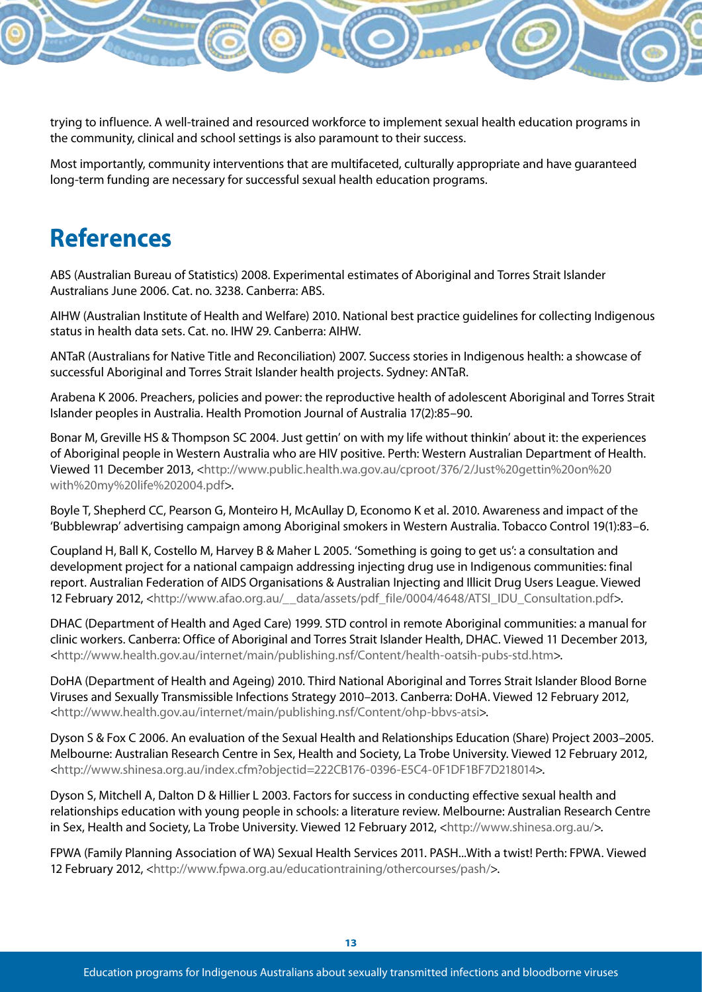

trying to influence. A well-trained and resourced workforce to implement sexual health education programs in the community, clinical and school settings is also paramount to their success.

Most importantly, community interventions that are multifaceted, culturally appropriate and have guaranteed long-term funding are necessary for successful sexual health education programs.

# **References**

ABS (Australian Bureau of Statistics) 2008. Experimental estimates of Aboriginal and Torres Strait Islander Australians June 2006. Cat. no. 3238. Canberra: ABS.

AIHW (Australian Institute of Health and Welfare) 2010. National best practice guidelines for collecting Indigenous status in health data sets. Cat. no. IHW 29. Canberra: AIHW.

ANTaR (Australians for Native Title and Reconciliation) 2007. Success stories in Indigenous health: a showcase of successful Aboriginal and Torres Strait Islander health projects. Sydney: ANTaR.

Arabena K 2006. Preachers, policies and power: the reproductive health of adolescent Aboriginal and Torres Strait Islander peoples in Australia. Health Promotion Journal of Australia 17(2):85–90.

Bonar M, Greville HS & Thompson SC 2004. Just gettin' on with my life without thinkin' about it: the experiences of Aboriginal people in Western Australia who are HIV positive. Perth: Western Australian Department of Health. Viewed 11 December 2013, <http://www.public.health.wa.gov.au/cproot/376/2/Just%20gettin%20on%20 with%20my%20life%202004.pdf>.

Boyle T, Shepherd CC, Pearson G, Monteiro H, McAullay D, Economo K et al. 2010. Awareness and impact of the 'Bubblewrap' advertising campaign among Aboriginal smokers in Western Australia. Tobacco Control 19(1):83–6.

Coupland H, Ball K, Costello M, Harvey B & Maher L 2005. 'Something is going to get us': a consultation and development project for a national campaign addressing injecting drug use in Indigenous communities: final report. Australian Federation of AIDS Organisations & Australian Injecting and Illicit Drug Users League. Viewed 12 February 2012, <http://www.afao.org.au/\_\_data/assets/pdf\_file/0004/4648/ATSI\_IDU\_Consultation.pdf>.

DHAC (Department of Health and Aged Care) 1999. STD control in remote Aboriginal communities: a manual for clinic workers. Canberra: Office of Aboriginal and Torres Strait Islander Health, DHAC. Viewed 11 December 2013, <http://www.health.gov.au/internet/main/publishing.nsf/Content/health-oatsih-pubs-std.htm>.

DoHA (Department of Health and Ageing) 2010. Third National Aboriginal and Torres Strait Islander Blood Borne Viruses and Sexually Transmissible Infections Strategy 2010–2013. Canberra: DoHA. Viewed 12 February 2012, <http://www.health.gov.au/internet/main/publishing.nsf/Content/ohp-bbvs-atsi>.

Dyson S & Fox C 2006. An evaluation of the Sexual Health and Relationships Education (Share) Project 2003–2005. Melbourne: Australian Research Centre in Sex, Health and Society, La Trobe University. Viewed 12 February 2012, <http://www.shinesa.org.au/index.cfm?objectid=222CB176-0396-E5C4-0F1DF1BF7D218014>.

Dyson S, Mitchell A, Dalton D & Hillier L 2003. Factors for success in conducting effective sexual health and relationships education with young people in schools: a literature review. Melbourne: Australian Research Centre in Sex, Health and Society, La Trobe University. Viewed 12 February 2012, <http://www.shinesa.org.au/>.

FPWA (Family Planning Association of WA) Sexual Health Services 2011. PASH...With a twist! Perth: FPWA. Viewed 12 February 2012, <http://www.fpwa.org.au/educationtraining/othercourses/pash/>.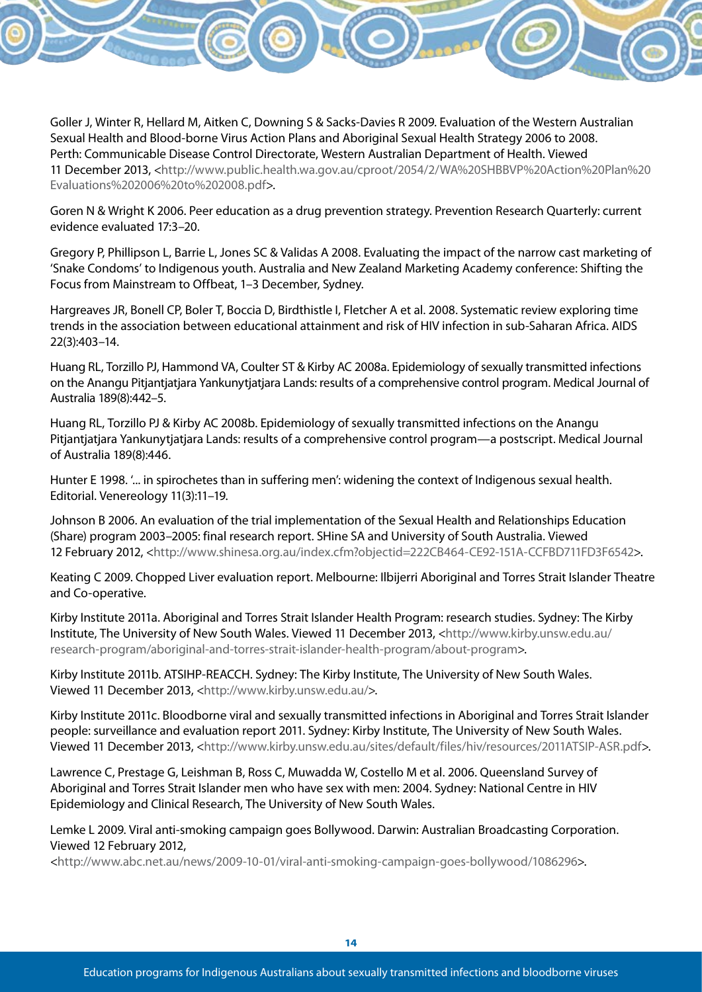Goller J, Winter R, Hellard M, Aitken C, Downing S & Sacks-Davies R 2009. Evaluation of the Western Australian Sexual Health and Blood-borne Virus Action Plans and Aboriginal Sexual Health Strategy 2006 to 2008. Perth: Communicable Disease Control Directorate, Western Australian Department of Health. Viewed 11 December 2013, <http://www.public.health.wa.gov.au/cproot/2054/2/WA%20SHBBVP%20Action%20Plan%20 Evaluations%202006%20to%202008.pdf>.

Goren N & Wright K 2006. Peer education as a drug prevention strategy. Prevention Research Quarterly: current evidence evaluated 17:3–20.

Gregory P, Phillipson L, Barrie L, Jones SC & Validas A 2008. Evaluating the impact of the narrow cast marketing of 'Snake Condoms' to Indigenous youth. Australia and New Zealand Marketing Academy conference: Shifting the Focus from Mainstream to Offbeat, 1–3 December, Sydney.

Hargreaves JR, Bonell CP, Boler T, Boccia D, Birdthistle I, Fletcher A et al. 2008. Systematic review exploring time trends in the association between educational attainment and risk of HIV infection in sub-Saharan Africa. AIDS 22(3):403–14.

Huang RL, Torzillo PJ, Hammond VA, Coulter ST & Kirby AC 2008a. Epidemiology of sexually transmitted infections on the Anangu Pitjantjatjara Yankunytjatjara Lands: results of a comprehensive control program. Medical Journal of Australia 189(8):442–5.

Huang RL, Torzillo PJ & Kirby AC 2008b. Epidemiology of sexually transmitted infections on the Anangu Pitjantjatjara Yankunytjatjara Lands: results of a comprehensive control program—a postscript. Medical Journal of Australia 189(8):446.

Hunter E 1998. '... in spirochetes than in suffering men': widening the context of Indigenous sexual health. Editorial. Venereology 11(3):11–19.

Johnson B 2006. An evaluation of the trial implementation of the Sexual Health and Relationships Education (Share) program 2003–2005: final research report. SHine SA and University of South Australia. Viewed 12 February 2012, <http://www.shinesa.org.au/index.cfm?objectid=222CB464-CE92-151A-CCFBD711FD3F6542>.

Keating C 2009. Chopped Liver evaluation report. Melbourne: Ilbijerri Aboriginal and Torres Strait Islander Theatre and Co-operative.

Kirby Institute 2011a. Aboriginal and Torres Strait Islander Health Program: research studies. Sydney: The Kirby Institute, The University of New South Wales. Viewed 11 December 2013, <http://www.kirby.unsw.edu.au/ research-program/aboriginal-and-torres-strait-islander-health-program/about-program>.

Kirby Institute 2011b. ATSIHP-REACCH. Sydney: The Kirby Institute, The University of New South Wales. Viewed 11 December 2013, <http://www.kirby.unsw.edu.au/>.

Kirby Institute 2011c. Bloodborne viral and sexually transmitted infections in Aboriginal and Torres Strait Islander people: surveillance and evaluation report 2011. Sydney: Kirby Institute, The University of New South Wales. Viewed 11 December 2013, <http://www.kirby.unsw.edu.au/sites/default/files/hiv/resources/2011ATSIP-ASR.pdf>.

Lawrence C, Prestage G, Leishman B, Ross C, Muwadda W, Costello M et al. 2006. Queensland Survey of Aboriginal and Torres Strait Islander men who have sex with men: 2004. Sydney: National Centre in HIV Epidemiology and Clinical Research, The University of New South Wales.

Lemke L 2009. Viral anti-smoking campaign goes Bollywood. Darwin: Australian Broadcasting Corporation. Viewed 12 February 2012,

<http://www.abc.net.au/news/2009-10-01/viral-anti-smoking-campaign-goes-bollywood/1086296>.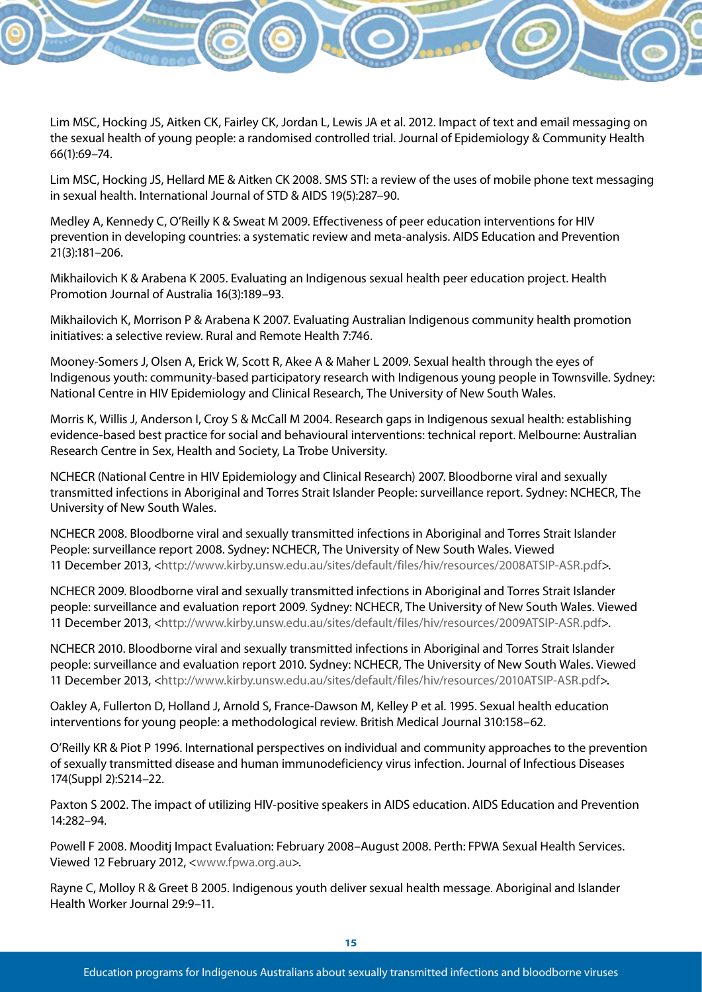Lim MSC, Hocking JS, Aitken CK, Fairley CK, Jordan L, Lewis JA et al. 2012. Impact of text and email messaging on the sexual health of young people: a randomised controlled trial. Journal of Epidemiology & Community Health 66(1):69–74.

Lim MSC, Hocking JS, Hellard ME & Aitken CK 2008. SMS STI: a review of the uses of mobile phone text messaging in sexual health. International Journal of STD & AIDS 19(5):287–90.

Medley A, Kennedy C, O'Reilly K & Sweat M 2009. Effectiveness of peer education interventions for HIV prevention in developing countries: a systematic review and meta-analysis. AIDS Education and Prevention 21(3):181–206.

Mikhailovich K & Arabena K 2005. Evaluating an Indigenous sexual health peer education project. Health Promotion Journal of Australia 16(3):189–93.

Mikhailovich K, Morrison P & Arabena K 2007. Evaluating Australian Indigenous community health promotion initiatives: a selective review. Rural and Remote Health 7:746.

Mooney-Somers J, Olsen A, Erick W, Scott R, Akee A & Maher L 2009. Sexual health through the eyes of Indigenous youth: community-based participatory research with Indigenous young people in Townsville. Sydney: National Centre in HIV Epidemiology and Clinical Research, The University of New South Wales.

Morris K, Willis J, Anderson I, Croy S & McCall M 2004. Research gaps in Indigenous sexual health: establishing evidence-based best practice for social and behavioural interventions: technical report. Melbourne: Australian Research Centre in Sex, Health and Society, La Trobe University.

NCHECR (National Centre in HIV Epidemiology and Clinical Research) 2007. Bloodborne viral and sexually transmitted infections in Aboriginal and Torres Strait Islander People: surveillance report. Sydney: NCHECR, The University of New South Wales.

NCHECR 2008. Bloodborne viral and sexually transmitted infections in Aboriginal and Torres Strait Islander People: surveillance report 2008. Sydney: NCHECR, The University of New South Wales. Viewed 11 December 2013, <http://www.kirby.unsw.edu.au/sites/default/files/hiv/resources/2008ATSIP-ASR.pdf>.

NCHECR 2009. Bloodborne viral and sexually transmitted infections in Aboriginal and Torres Strait Islander people: surveillance and evaluation report 2009. Sydney: NCHECR, The University of New South Wales. Viewed 11 December 2013, <http://www.kirby.unsw.edu.au/sites/default/files/hiv/resources/2009ATSIP-ASR.pdf>.

NCHECR 2010. Bloodborne viral and sexually transmitted infections in Aboriginal and Torres Strait Islander people: surveillance and evaluation report 2010. Sydney: NCHECR, The University of New South Wales. Viewed 11 December 2013, <http://www.kirby.unsw.edu.au/sites/default/files/hiv/resources/2010ATSIP-ASR.pdf>.

Oakley A, Fullerton D, Holland J, Arnold S, France-Dawson M, Kelley P et al. 1995. Sexual health education interventions for young people: a methodological review. British Medical Journal 310:158–62.

O'Reilly KR & Piot P 1996. International perspectives on individual and community approaches to the prevention of sexually transmitted disease and human immunodeficiency virus infection. Journal of Infectious Diseases 174(Suppl 2):S214–22.

Paxton S 2002. The impact of utilizing HIV-positive speakers in AIDS education. AIDS Education and Prevention 14:282–94.

Powell F 2008. Mooditj Impact Evaluation: February 2008–August 2008. Perth: FPWA Sexual Health Services. Viewed 12 February 2012, <www.fpwa.org.au>.

Rayne C, Molloy R & Greet B 2005. Indigenous youth deliver sexual health message. Aboriginal and Islander Health Worker Journal 29:9–11.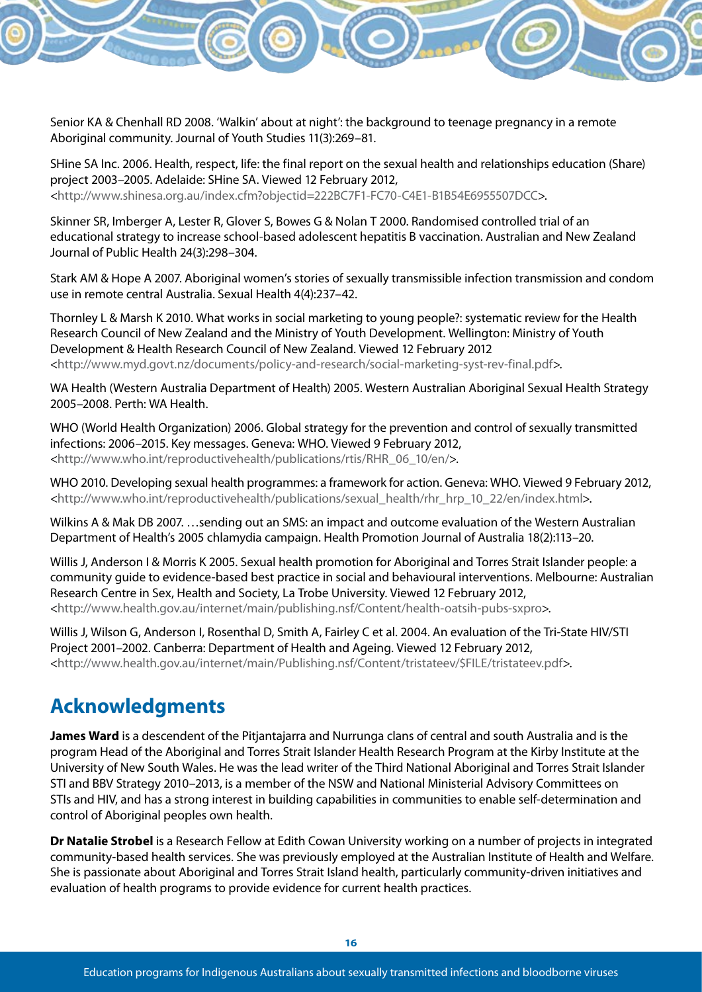Senior KA & Chenhall RD 2008. 'Walkin' about at night': the background to teenage pregnancy in a remote Aboriginal community. Journal of Youth Studies 11(3):269–81.

SHine SA Inc. 2006. Health, respect, life: the final report on the sexual health and relationships education (Share) project 2003–2005. Adelaide: SHine SA. Viewed 12 February 2012, <http://www.shinesa.org.au/index.cfm?objectid=222BC7F1-FC70-C4E1-B1B54E6955507DCC>.

Skinner SR, Imberger A, Lester R, Glover S, Bowes G & Nolan T 2000. Randomised controlled trial of an educational strategy to increase school-based adolescent hepatitis B vaccination. Australian and New Zealand Journal of Public Health 24(3):298–304.

Stark AM & Hope A 2007. Aboriginal women's stories of sexually transmissible infection transmission and condom use in remote central Australia. Sexual Health 4(4):237–42.

Thornley L & Marsh K 2010. What works in social marketing to young people?: systematic review for the Health Research Council of New Zealand and the Ministry of Youth Development. Wellington: Ministry of Youth Development & Health Research Council of New Zealand. Viewed 12 February 2012 <http://www.myd.govt.nz/documents/policy-and-research/social-marketing-syst-rev-final.pdf>.

WA Health (Western Australia Department of Health) 2005. Western Australian Aboriginal Sexual Health Strategy 2005–2008. Perth: WA Health.

WHO (World Health Organization) 2006. Global strategy for the prevention and control of sexually transmitted infections: 2006–2015. Key messages. Geneva: WHO. Viewed 9 February 2012, <http://www.who.int/reproductivehealth/publications/rtis/RHR\_06\_10/en/>.

WHO 2010. Developing sexual health programmes: a framework for action. Geneva: WHO. Viewed 9 February 2012, <http://www.who.int/reproductivehealth/publications/sexual\_health/rhr\_hrp\_10\_22/en/index.html>.

Wilkins A & Mak DB 2007. …sending out an SMS: an impact and outcome evaluation of the Western Australian Department of Health's 2005 chlamydia campaign. Health Promotion Journal of Australia 18(2):113–20.

Willis J, Anderson I & Morris K 2005. Sexual health promotion for Aboriginal and Torres Strait Islander people: a community guide to evidence-based best practice in social and behavioural interventions. Melbourne: Australian Research Centre in Sex, Health and Society, La Trobe University. Viewed 12 February 2012, <http://www.health.gov.au/internet/main/publishing.nsf/Content/health-oatsih-pubs-sxpro>.

Willis J, Wilson G, Anderson I, Rosenthal D, Smith A, Fairley C et al. 2004. An evaluation of the Tri-State HIV/STI Project 2001–2002. Canberra: Department of Health and Ageing. Viewed 12 February 2012, <http://www.health.gov.au/internet/main/Publishing.nsf/Content/tristateev/\$FILE/tristateev.pdf>.

## **Acknowledgments**

**James Ward** is a descendent of the Pitjantajarra and Nurrunga clans of central and south Australia and is the program Head of the Aboriginal and Torres Strait Islander Health Research Program at the Kirby Institute at the University of New South Wales. He was the lead writer of the Third National Aboriginal and Torres Strait Islander STI and BBV Strategy 2010–2013, is a member of the NSW and National Ministerial Advisory Committees on STIs and HIV, and has a strong interest in building capabilities in communities to enable self-determination and control of Aboriginal peoples own health.

**Dr Natalie Strobel** is a Research Fellow at Edith Cowan University working on a number of projects in integrated community-based health services. She was previously employed at the Australian Institute of Health and Welfare. She is passionate about Aboriginal and Torres Strait Island health, particularly community-driven initiatives and evaluation of health programs to provide evidence for current health practices.